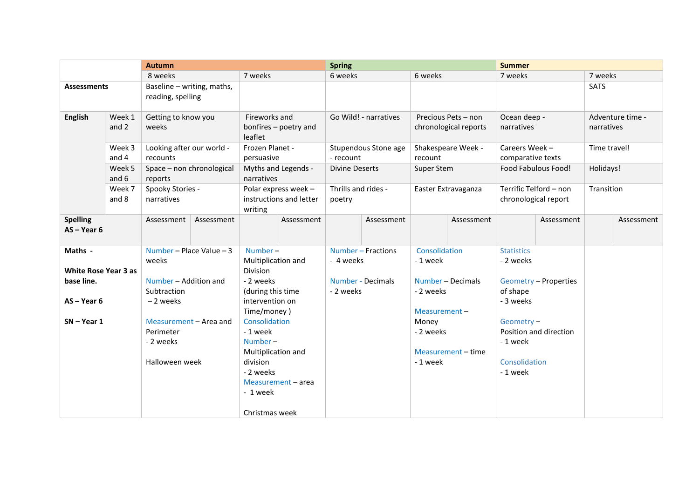|                                                                                        |                                                          | <b>Autumn</b>                                                                                                                                               |                                                   |                                                                                                                                                                                                                                       | <b>Spring</b>                     |                        |                                              | <b>Summer</b>                                                                          |                                         |                                                                                                             |                                                 |             |            |
|----------------------------------------------------------------------------------------|----------------------------------------------------------|-------------------------------------------------------------------------------------------------------------------------------------------------------------|---------------------------------------------------|---------------------------------------------------------------------------------------------------------------------------------------------------------------------------------------------------------------------------------------|-----------------------------------|------------------------|----------------------------------------------|----------------------------------------------------------------------------------------|-----------------------------------------|-------------------------------------------------------------------------------------------------------------|-------------------------------------------------|-------------|------------|
|                                                                                        |                                                          | 8 weeks                                                                                                                                                     |                                                   | 7 weeks                                                                                                                                                                                                                               |                                   | 6 weeks                |                                              | 6 weeks                                                                                |                                         | 7 weeks                                                                                                     |                                                 | 7 weeks     |            |
| <b>Assessments</b>                                                                     |                                                          | Baseline - writing, maths,<br>reading, spelling                                                                                                             |                                                   |                                                                                                                                                                                                                                       |                                   |                        |                                              |                                                                                        |                                         |                                                                                                             |                                                 | <b>SATS</b> |            |
| <b>English</b>                                                                         | Week 1<br>Getting to know you<br>and 2<br>weeks          |                                                                                                                                                             | Fireworks and<br>bonfires - poetry and<br>leaflet |                                                                                                                                                                                                                                       | Go Wild! - narratives             |                        | Precious Pets - non<br>chronological reports |                                                                                        | Ocean deep -<br>narratives              |                                                                                                             | Adventure time -<br>narratives                  |             |            |
|                                                                                        | Looking after our world -<br>Week 3<br>and 4<br>recounts |                                                                                                                                                             | Frozen Planet -<br>persuasive                     |                                                                                                                                                                                                                                       | Stupendous Stone age<br>- recount |                        | Shakespeare Week -<br>recount                |                                                                                        | Careers Week -<br>comparative texts     |                                                                                                             | Time travel!                                    |             |            |
| Week 5<br>and 6                                                                        |                                                          | Space - non chronological<br>reports                                                                                                                        |                                                   | Myths and Legends -<br>narratives                                                                                                                                                                                                     |                                   | <b>Divine Deserts</b>  |                                              | Super Stem                                                                             |                                         | Food Fabulous Food!                                                                                         |                                                 | Holidays!   |            |
|                                                                                        | Week 7<br>and 8                                          | Polar express week -<br>Spooky Stories -<br>instructions and letter<br>narratives<br>writing                                                                |                                                   | Thrills and rides -<br>poetry                                                                                                                                                                                                         |                                   | Easter Extravaganza    |                                              | Terrific Telford - non<br>chronological report                                         |                                         | Transition                                                                                                  |                                                 |             |            |
| <b>Spelling</b><br>$AS - Year 6$                                                       |                                                          | Assessment                                                                                                                                                  | Assessment                                        |                                                                                                                                                                                                                                       | Assessment                        |                        | Assessment                                   |                                                                                        | Assessment                              |                                                                                                             | Assessment                                      |             | Assessment |
| Maths -<br><b>White Rose Year 3 as</b><br>base line.<br>$AS - Year 6$<br>$SN - Year 1$ |                                                          | Number - Place Value - 3<br>weeks<br>Number - Addition and<br>Subtraction<br>-2 weeks<br>Measurement - Area and<br>Perimeter<br>- 2 weeks<br>Halloween week |                                                   | Number-<br>Multiplication and<br>Division<br>- 2 weeks<br>(during this time<br>intervention on<br>Time/money)<br>Consolidation<br>- 1 week<br>Number $-$<br>Multiplication and<br>division<br>- 2 weeks<br>- 1 week<br>Christmas week | Measurement - area                | - 4 weeks<br>- 2 weeks | Number - Fractions<br>Number - Decimals      | Consolidation<br>-1 week<br>- 2 weeks<br>Measurement-<br>Money<br>- 2 weeks<br>-1 week | Number - Decimals<br>Measurement - time | <b>Statistics</b><br>- 2 weeks<br>of shape<br>- 3 weeks<br>Geometry-<br>-1 week<br>Consolidation<br>-1 week | Geometry – Properties<br>Position and direction |             |            |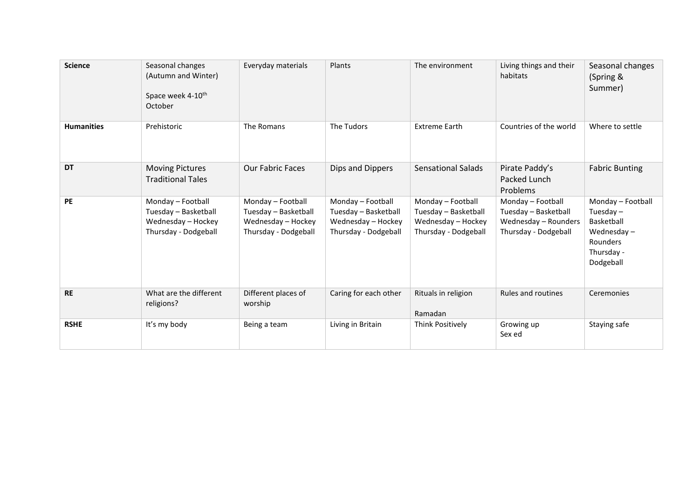| <b>Science</b>    | Seasonal changes<br>(Autumn and Winter)<br>Space week 4-10 <sup>th</sup><br>October     | Everyday materials                                                                      | Plants                                                                                  | The environment                                                                         | Living things and their<br>habitats                                                       | Seasonal changes<br>(Spring &<br>Summer)                                                            |
|-------------------|-----------------------------------------------------------------------------------------|-----------------------------------------------------------------------------------------|-----------------------------------------------------------------------------------------|-----------------------------------------------------------------------------------------|-------------------------------------------------------------------------------------------|-----------------------------------------------------------------------------------------------------|
| <b>Humanities</b> | Prehistoric                                                                             | The Romans                                                                              | The Tudors                                                                              | <b>Extreme Earth</b>                                                                    | Countries of the world                                                                    | Where to settle                                                                                     |
| <b>DT</b>         | <b>Moving Pictures</b><br><b>Traditional Tales</b>                                      | <b>Our Fabric Faces</b>                                                                 | Dips and Dippers                                                                        | <b>Sensational Salads</b>                                                               | Pirate Paddy's<br>Packed Lunch<br>Problems                                                | <b>Fabric Bunting</b>                                                                               |
| PE                | Monday - Football<br>Tuesday - Basketball<br>Wednesday - Hockey<br>Thursday - Dodgeball | Monday - Football<br>Tuesday - Basketball<br>Wednesday - Hockey<br>Thursday - Dodgeball | Monday - Football<br>Tuesday - Basketball<br>Wednesday - Hockey<br>Thursday - Dodgeball | Monday - Football<br>Tuesday - Basketball<br>Wednesday - Hockey<br>Thursday - Dodgeball | Monday - Football<br>Tuesday - Basketball<br>Wednesday - Rounders<br>Thursday - Dodgeball | Monday - Football<br>Tuesday $-$<br>Basketball<br>Wednesday-<br>Rounders<br>Thursday -<br>Dodgeball |
| <b>RE</b>         | What are the different<br>religions?                                                    | Different places of<br>worship                                                          | Caring for each other                                                                   | Rituals in religion<br>Ramadan                                                          | Rules and routines                                                                        | Ceremonies                                                                                          |
| <b>RSHE</b>       | It's my body                                                                            | Being a team                                                                            | Living in Britain                                                                       | Think Positively                                                                        | Growing up<br>Sex ed                                                                      | Staying safe                                                                                        |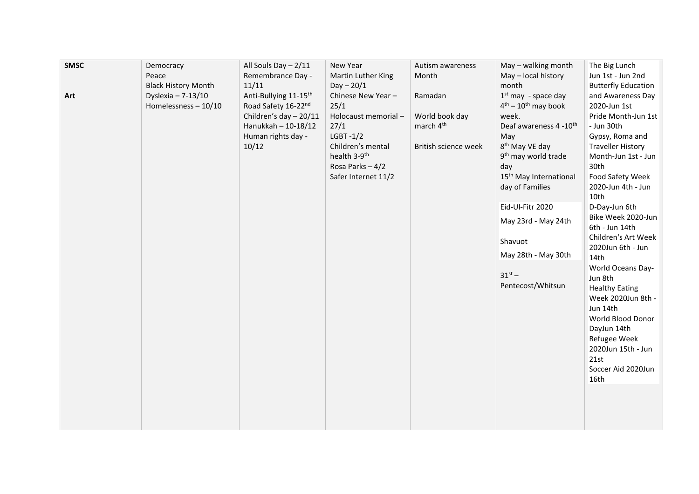| <b>SMSC</b><br>Art | Democracy<br>Peace<br><b>Black History Month</b><br>Dyslexia $- 7-13/10$<br>Homelessness $-10/10$ | All Souls Day - 2/11<br>Remembrance Day -<br>11/11<br>Anti-Bullying 11-15 <sup>th</sup><br>Road Safety 16-22nd<br>Children's day $-20/11$<br>Hanukkah - 10-18/12<br>Human rights day -<br>10/12 | New Year<br>Martin Luther King<br>$Day - 20/1$<br>Chinese New Year -<br>25/1<br>Holocaust memorial-<br>27/1<br>$L$ GBT-1/2<br>Children's mental<br>health 3-9 <sup>th</sup><br>Rosa Parks $-4/2$<br>Safer Internet 11/2 | Autism awareness<br>Month<br>Ramadan<br>World book day<br>march 4 <sup>th</sup><br>British science week | May - walking month<br>May - local history<br>month<br>$1st$ may - space day<br>$4th - 10th$ may book<br>week.<br>Deaf awareness 4 -10th<br>May<br>8 <sup>th</sup> May VE day<br>9 <sup>th</sup> may world trade<br>day<br>15 <sup>th</sup> May International<br>day of Families<br>Eid-Ul-Fitr 2020<br>May 23rd - May 24th<br>Shavuot<br>May 28th - May 30th<br>$31^{st} -$<br>Pentecost/Whitsun | The Big Lunch<br>Jun 1st - Jun 2nd<br><b>Butterfly Education</b><br>and Awareness Day<br>2020-Jun 1st<br>Pride Month-Jun 1st<br>- Jun 30th<br>Gypsy, Roma and<br><b>Traveller History</b><br>Month-Jun 1st - Jun<br>30th<br>Food Safety Week<br>2020-Jun 4th - Jun<br>10th<br>D-Day-Jun 6th<br>Bike Week 2020-Jun<br>6th - Jun 14th<br>Children's Art Week<br>2020Jun 6th - Jun<br>14th<br>World Oceans Day-<br>Jun 8th<br><b>Healthy Eating</b><br>Week 2020Jun 8th -<br>Jun 14th<br>World Blood Donor<br>DayJun 14th<br>Refugee Week<br>2020Jun 15th - Jun<br>21st<br>Soccer Aid 2020Jun<br>16th |
|--------------------|---------------------------------------------------------------------------------------------------|-------------------------------------------------------------------------------------------------------------------------------------------------------------------------------------------------|-------------------------------------------------------------------------------------------------------------------------------------------------------------------------------------------------------------------------|---------------------------------------------------------------------------------------------------------|---------------------------------------------------------------------------------------------------------------------------------------------------------------------------------------------------------------------------------------------------------------------------------------------------------------------------------------------------------------------------------------------------|----------------------------------------------------------------------------------------------------------------------------------------------------------------------------------------------------------------------------------------------------------------------------------------------------------------------------------------------------------------------------------------------------------------------------------------------------------------------------------------------------------------------------------------------------------------------------------------------------|
|                    |                                                                                                   |                                                                                                                                                                                                 |                                                                                                                                                                                                                         |                                                                                                         |                                                                                                                                                                                                                                                                                                                                                                                                   |                                                                                                                                                                                                                                                                                                                                                                                                                                                                                                                                                                                                    |